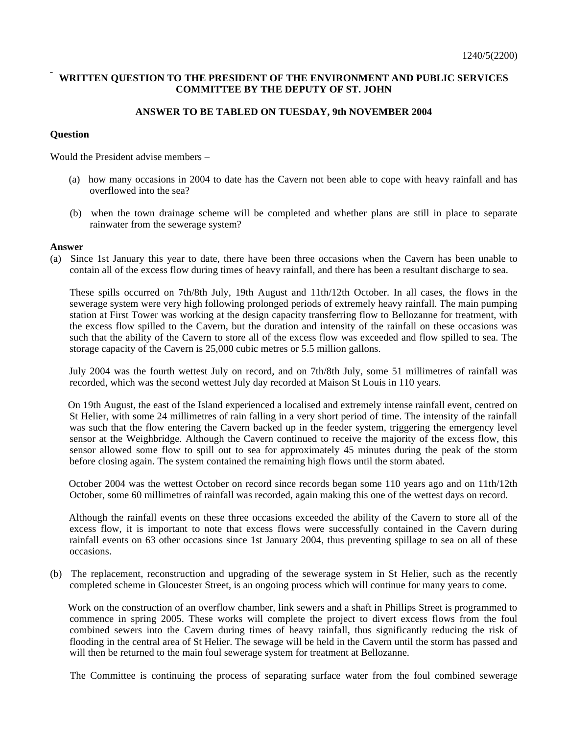## **WRITTEN QUESTION TO THE PRESIDENT OF THE ENVIRONMENT AND PUBLIC SERVICES COMMITTEE BY THE DEPUTY OF ST. JOHN**

## **ANSWER TO BE TABLED ON TUESDAY, 9th NOVEMBER 2004**

## **Question**

Would the President advise members –

- (a) how many occasions in 2004 to date has the Cavern not been able to cope with heavy rainfall and has overflowed into the sea?
- (b) when the town drainage scheme will be completed and whether plans are still in place to separate rainwater from the sewerage system?

## **Answer**

(a) Since 1st January this year to date, there have been three occasions when the Cavern has been unable to contain all of the excess flow during times of heavy rainfall, and there has been a resultant discharge to sea.

 These spills occurred on 7th/8th July, 19th August and 11th/12th October. In all cases, the flows in the sewerage system were very high following prolonged periods of extremely heavy rainfall. The main pumping station at First Tower was working at the design capacity transferring flow to Bellozanne for treatment, with the excess flow spilled to the Cavern, but the duration and intensity of the rainfall on these occasions was such that the ability of the Cavern to store all of the excess flow was exceeded and flow spilled to sea. The storage capacity of the Cavern is 25,000 cubic metres or 5.5 million gallons.

 July 2004 was the fourth wettest July on record, and on 7th/8th July, some 51 millimetres of rainfall was recorded, which was the second wettest July day recorded at Maison St Louis in 110 years.

 On 19th August, the east of the Island experienced a localised and extremely intense rainfall event, centred on St Helier, with some 24 millimetres of rain falling in a very short period of time. The intensity of the rainfall was such that the flow entering the Cavern backed up in the feeder system, triggering the emergency level sensor at the Weighbridge. Although the Cavern continued to receive the majority of the excess flow, this sensor allowed some flow to spill out to sea for approximately 45 minutes during the peak of the storm before closing again. The system contained the remaining high flows until the storm abated.

 October 2004 was the wettest October on record since records began some 110 years ago and on 11th/12th October, some 60 millimetres of rainfall was recorded, again making this one of the wettest days on record.

 Although the rainfall events on these three occasions exceeded the ability of the Cavern to store all of the excess flow, it is important to note that excess flows were successfully contained in the Cavern during rainfall events on 63 other occasions since 1st January 2004, thus preventing spillage to sea on all of these occasions.

(b) The replacement, reconstruction and upgrading of the sewerage system in St Helier, such as the recently completed scheme in Gloucester Street, is an ongoing process which will continue for many years to come.

 Work on the construction of an overflow chamber, link sewers and a shaft in Phillips Street is programmed to commence in spring 2005. These works will complete the project to divert excess flows from the foul combined sewers into the Cavern during times of heavy rainfall, thus significantly reducing the risk of flooding in the central area of St Helier. The sewage will be held in the Cavern until the storm has passed and will then be returned to the main foul sewerage system for treatment at Bellozanne.

The Committee is continuing the process of separating surface water from the foul combined sewerage